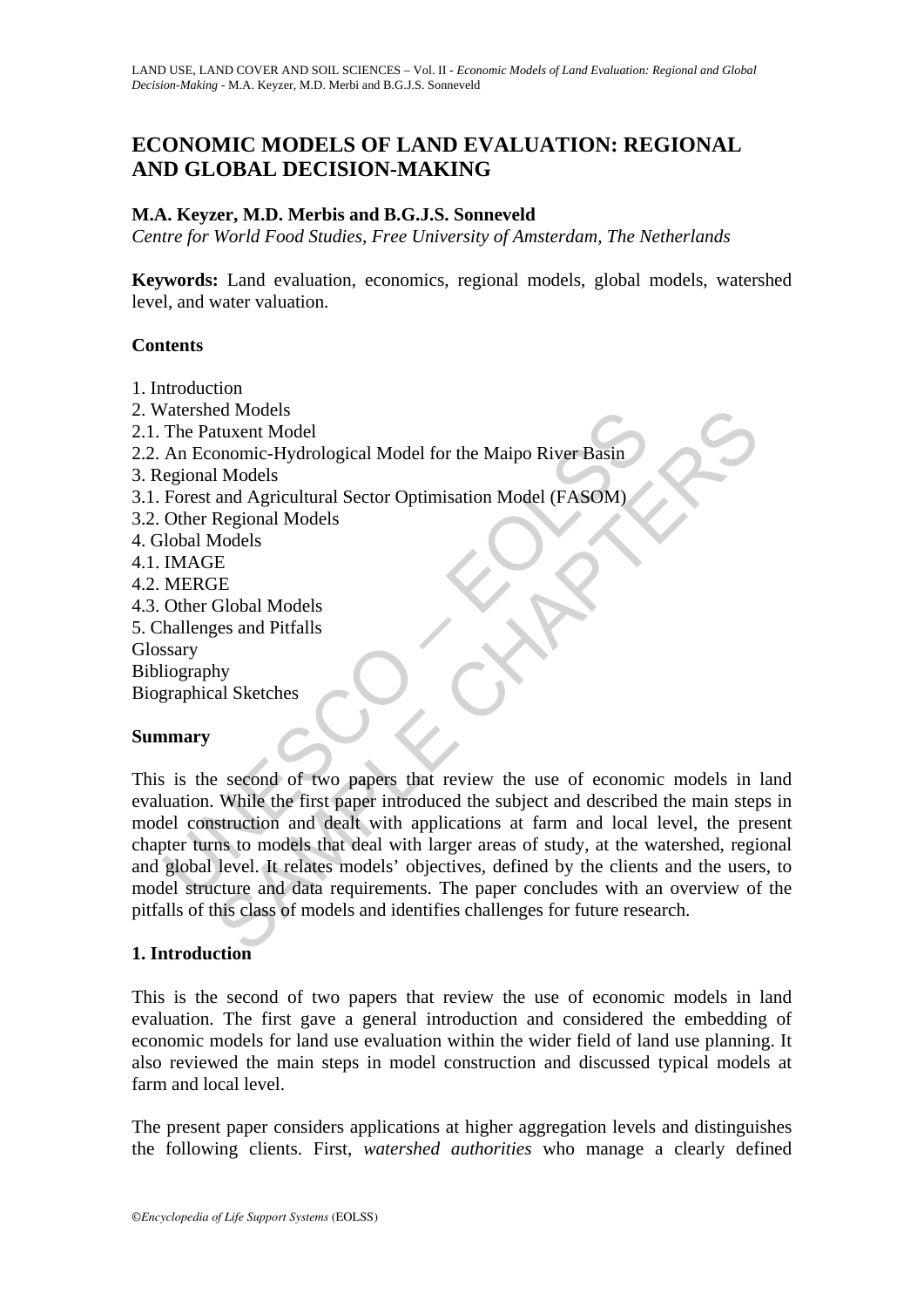# **ECONOMIC MODELS OF LAND EVALUATION: REGIONAL AND GLOBAL DECISION-MAKING**

## **M.A. Keyzer, M.D. Merbis and B.G.J.S. Sonneveld**

*Centre for World Food Studies, Free University of Amsterdam, The Netherlands*

**Keywords:** Land evaluation, economics, regional models, global models, watershed level, and water valuation.

## **Contents**

- 1. Introduction
- 2. Watershed Models
- 2.1. The Patuxent Model
- 2.2. An Economic-Hydrological Model for the Maipo River Basin
- 3. Regional Models
- 3.1. Forest and Agricultural Sector Optimisation Model (FASOM)
- 3.2. Other Regional Models
- 4. Global Models
- 4.1. IMAGE
- 4.2. MERGE
- 4.3. Other Global Models
- 5. Challenges and Pitfalls
- **Glossary**
- Bibliography
- Biographical Sketches

## **Summary**

valershed Model<br>
The Patuxent Model<br>
An Economic-Hydrological Model for the Maipo River Basin<br>
egional Models<br>
Forest and Agricultural Sector Optimisation Model (FASOM)<br>
Other Regional Models<br>
MAGE<br>
MAGE<br>
MERGE<br>
Other Glob ed Models<br>
tuxent Model<br>
tuxent Models<br>
nononic-Hydrological Model for the Maipo River Basin<br>
1 Models<br>
and Agricultural Sector Optimisation Model (FASOM)<br>
Adodels<br>
E<br>
E<br>
E<br>
E<br>
FERE TO Clobal Models<br>
Feres and Pitfalls<br>
hy This is the second of two papers that review the use of economic models in land evaluation. While the first paper introduced the subject and described the main steps in model construction and dealt with applications at farm and local level, the present chapter turns to models that deal with larger areas of study, at the watershed, regional and global level. It relates models' objectives, defined by the clients and the users, to model structure and data requirements. The paper concludes with an overview of the pitfalls of this class of models and identifies challenges for future research.

## **1. Introduction**

This is the second of two papers that review the use of economic models in land evaluation. The first gave a general introduction and considered the embedding of economic models for land use evaluation within the wider field of land use planning. It also reviewed the main steps in model construction and discussed typical models at farm and local level.

The present paper considers applications at higher aggregation levels and distinguishes the following clients. First, *watershed authorities* who manage a clearly defined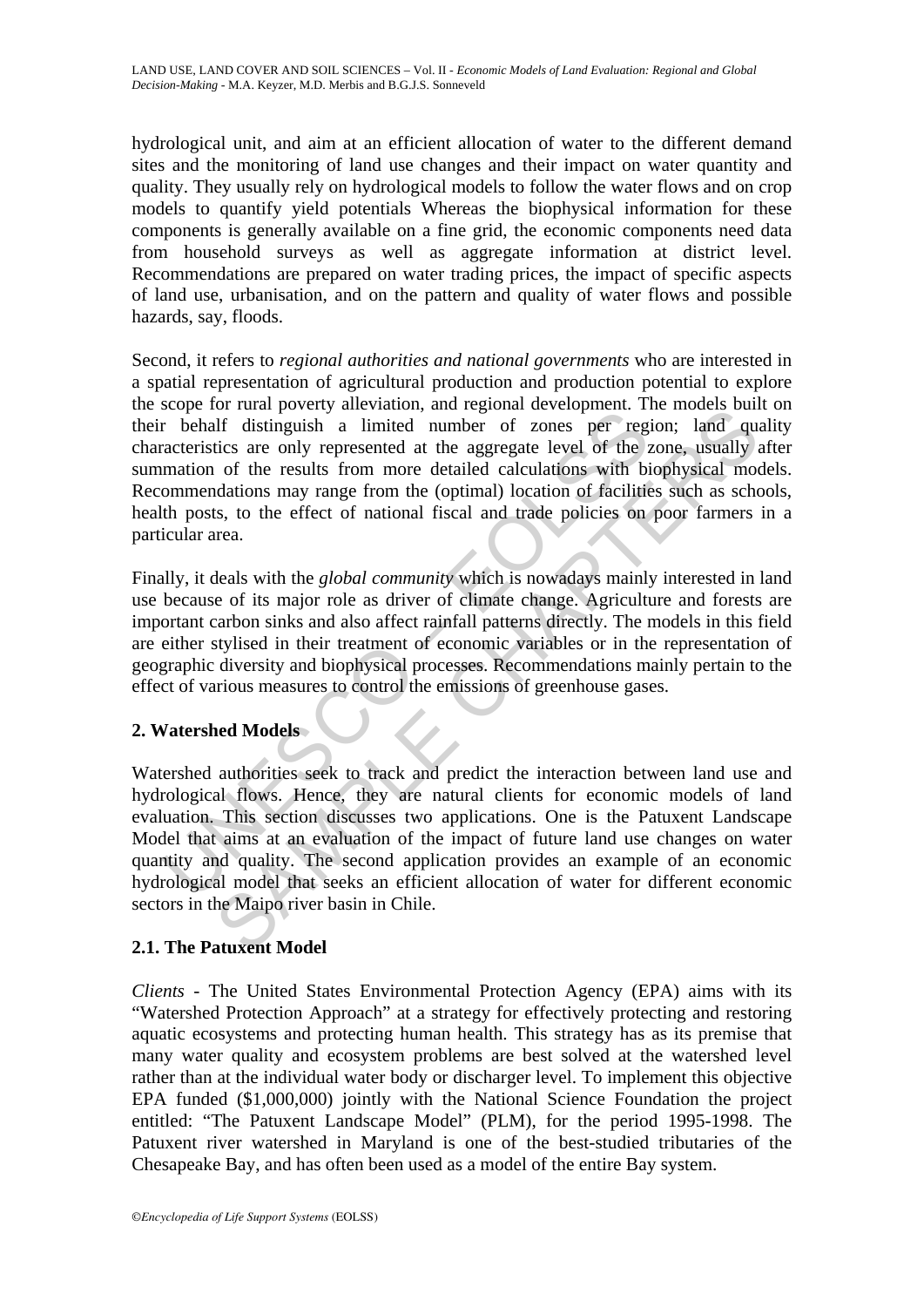hydrological unit, and aim at an efficient allocation of water to the different demand sites and the monitoring of land use changes and their impact on water quantity and quality. They usually rely on hydrological models to follow the water flows and on crop models to quantify yield potentials Whereas the biophysical information for these components is generally available on a fine grid, the economic components need data from household surveys as well as aggregate information at district level. Recommendations are prepared on water trading prices, the impact of specific aspects of land use, urbanisation, and on the pattern and quality of water flows and possible hazards, say, floods.

Sorbe for frame provides a limited number of zones per regions and the behalf distinguish a limited number of zones per regracteristics are only represented at the aggregate level of the *i* mation of the results from more Second, it refers to *regional authorities and national governments* who are interested in a spatial representation of agricultural production and production potential to explore the scope for rural poverty alleviation, and regional development. The models built on their behalf distinguish a limited number of zones per region; land quality characteristics are only represented at the aggregate level of the zone, usually after summation of the results from more detailed calculations with biophysical models. Recommendations may range from the (optimal) location of facilities such as schools, health posts, to the effect of national fiscal and trade policies on poor farmers in a particular area.

Finally, it deals with the *global community* which is nowadays mainly interested in land use because of its major role as driver of climate change. Agriculture and forests are important carbon sinks and also affect rainfall patterns directly. The models in this field are either stylised in their treatment of economic variables or in the representation of geographic diversity and biophysical processes. Recommendations mainly pertain to the effect of various measures to control the emissions of greenhouse gases.

## **2. Watershed Models**

or transportation, and regional development. The modes out<br>of that pottage and particular development and equivalent in the modes of the results from more detailed calculations with biophysical modes are only represented a Watershed authorities seek to track and predict the interaction between land use and hydrological flows. Hence, they are natural clients for economic models of land evaluation. This section discusses two applications. One is the Patuxent Landscape Model that aims at an evaluation of the impact of future land use changes on water quantity and quality. The second application provides an example of an economic hydrological model that seeks an efficient allocation of water for different economic sectors in the Maipo river basin in Chile.

## **2.1. The Patuxent Model**

*Clients* - The United States Environmental Protection Agency (EPA) aims with its "Watershed Protection Approach" at a strategy for effectively protecting and restoring aquatic ecosystems and protecting human health. This strategy has as its premise that many water quality and ecosystem problems are best solved at the watershed level rather than at the individual water body or discharger level. To implement this objective EPA funded (\$1,000,000) jointly with the National Science Foundation the project entitled: "The Patuxent Landscape Model" (PLM), for the period 1995-1998. The Patuxent river watershed in Maryland is one of the best-studied tributaries of the Chesapeake Bay, and has often been used as a model of the entire Bay system.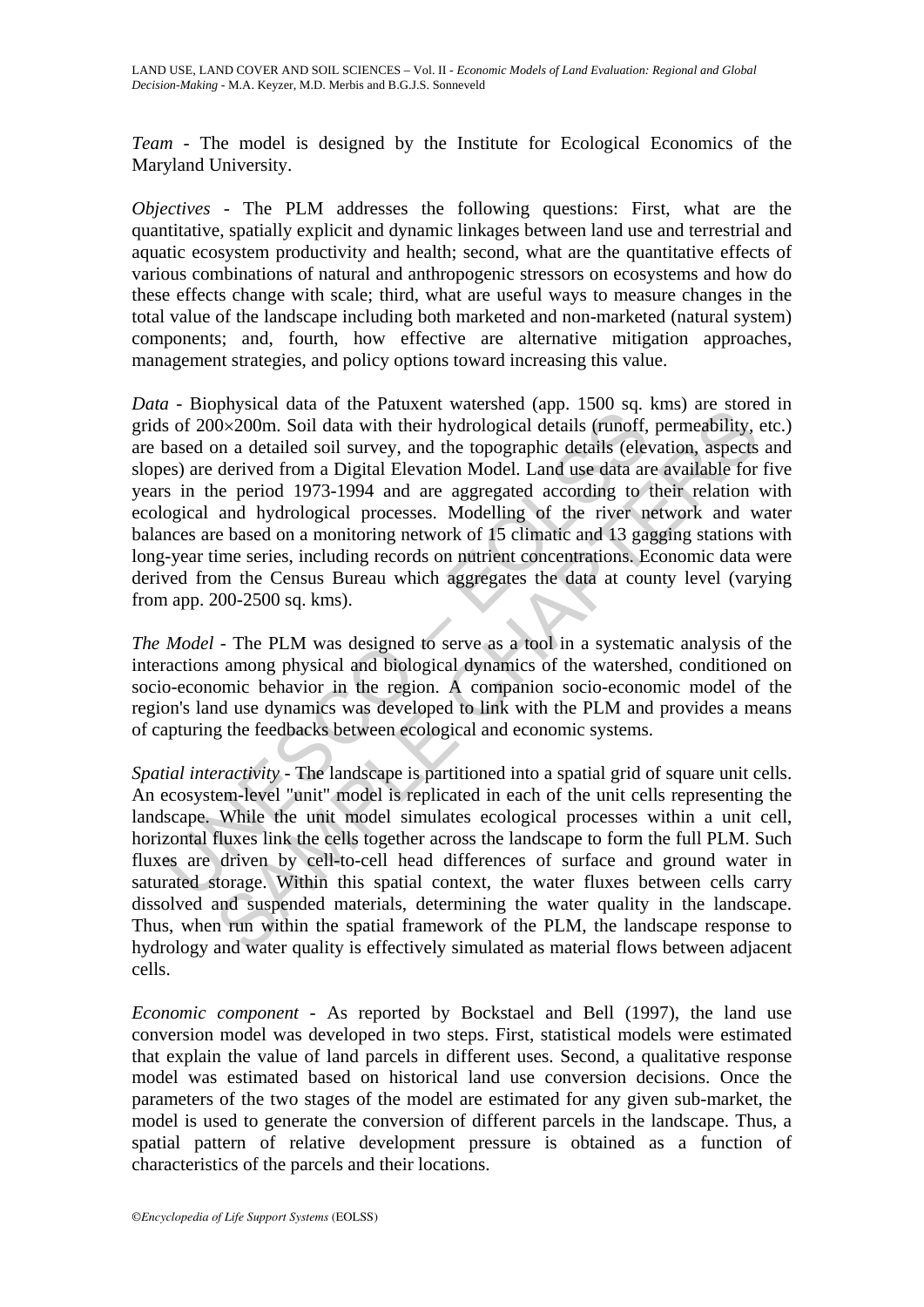*Team* - The model is designed by the Institute for Ecological Economics of the Maryland University.

*Objectives* - The PLM addresses the following questions: First, what are the quantitative, spatially explicit and dynamic linkages between land use and terrestrial and aquatic ecosystem productivity and health; second, what are the quantitative effects of various combinations of natural and anthropogenic stressors on ecosystems and how do these effects change with scale; third, what are useful ways to measure changes in the total value of the landscape including both marketed and non-marketed (natural system) components; and, fourth, how effective are alternative mitigation approaches, management strategies, and policy options toward increasing this value.

a non-pysocial data of the relational of the relation (upp. 1500 sq.<br>as of 200×200m. Soil data with their hydrological details (runoff, based on a detailed soil survey, and the topographic details (eleves) are derived from physical data on the radius measure (app. 1500 sq. kms) are solved to the row solved to the radius of the difference (app. 150 sq. kms) are solved from a Digital Elevation Model. Land use data are available for the prodict *Data* - Biophysical data of the Patuxent watershed (app. 1500 sq. kms) are stored in grids of 200×200m. Soil data with their hydrological details (runoff, permeability, etc.) are based on a detailed soil survey, and the topographic details (elevation, aspects and slopes) are derived from a Digital Elevation Model. Land use data are available for five years in the period 1973-1994 and are aggregated according to their relation with ecological and hydrological processes. Modelling of the river network and water balances are based on a monitoring network of 15 climatic and 13 gagging stations with long-year time series, including records on nutrient concentrations. Economic data were derived from the Census Bureau which aggregates the data at county level (varying from app. 200-2500 sq. kms).

*The Model* - The PLM was designed to serve as a tool in a systematic analysis of the interactions among physical and biological dynamics of the watershed, conditioned on socio-economic behavior in the region. A companion socio-economic model of the region's land use dynamics was developed to link with the PLM and provides a means of capturing the feedbacks between ecological and economic systems.

*Spatial interactivity* - The landscape is partitioned into a spatial grid of square unit cells. An ecosystem-level "unit" model is replicated in each of the unit cells representing the landscape. While the unit model simulates ecological processes within a unit cell, horizontal fluxes link the cells together across the landscape to form the full PLM. Such fluxes are driven by cell-to-cell head differences of surface and ground water in saturated storage. Within this spatial context, the water fluxes between cells carry dissolved and suspended materials, determining the water quality in the landscape. Thus, when run within the spatial framework of the PLM, the landscape response to hydrology and water quality is effectively simulated as material flows between adjacent cells.

*Economic component* - As reported by Bockstael and Bell (1997), the land use conversion model was developed in two steps. First, statistical models were estimated that explain the value of land parcels in different uses. Second, a qualitative response model was estimated based on historical land use conversion decisions. Once the parameters of the two stages of the model are estimated for any given sub-market, the model is used to generate the conversion of different parcels in the landscape. Thus, a spatial pattern of relative development pressure is obtained as a function of characteristics of the parcels and their locations.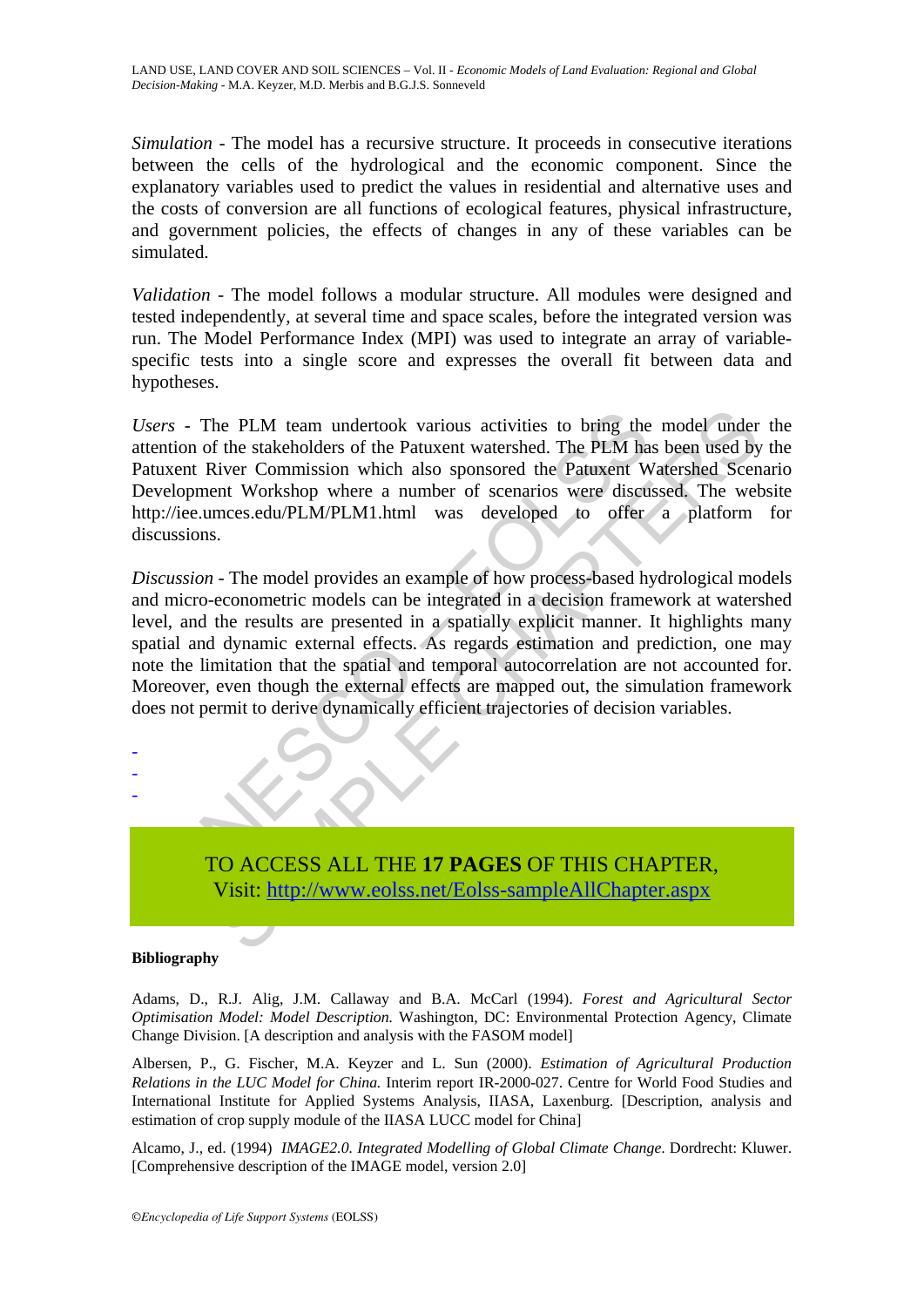*Simulation -* The model has a recursive structure. It proceeds in consecutive iterations between the cells of the hydrological and the economic component. Since the explanatory variables used to predict the values in residential and alternative uses and the costs of conversion are all functions of ecological features, physical infrastructure, and government policies, the effects of changes in any of these variables can be simulated.

*Validation -* The model follows a modular structure. All modules were designed and tested independently, at several time and space scales, before the integrated version was run. The Model Performance Index (MPI) was used to integrate an array of variablespecific tests into a single score and expresses the overall fit between data and hypotheses.

*Users* - The PLM team undertook various activities to bring the model under the attention of the stakeholders of the Patuxent watershed. The PLM has been used by the Patuxent River Commission which also sponsored the Patuxent Watershed Scenario Development Workshop where a number of scenarios were discussed. The website http://iee.umces.edu/PLM/PLM1.html was developed to offer a platform for discussions.

rs - The PLM team undertook various activities to bring the<br>thion of the stakeholders of the Patuxent watershed. The PLM ha<br>ixent River Commission which also sponsored the Patuxent W<br>elopment Workshop where a number of sce The PLM team undertook various activities to bring the model under<br>the stakeholders of the Patuxent watershed. The PLM has been used by<br>tiver Commission which also sponsored the Patuxent Watershed Scenent Workshop where a *Discussion -* The model provides an example of how process-based hydrological models and micro-econometric models can be integrated in a decision framework at watershed level, and the results are presented in a spatially explicit manner. It highlights many spatial and dynamic external effects. As regards estimation and prediction, one may note the limitation that the spatial and temporal autocorrelation are not accounted for. Moreover, even though the external effects are mapped out, the simulation framework does not permit to derive dynamically efficient trajectories of decision variables.

TO ACCESS ALL THE **17 PAGES** OF THIS CHAPTER, Visit: http://www.eolss.net/Eolss-sampleAllChapter.aspx

### **Bibliography**

- - -

Adams, D., R.J. Alig, J.M. Callaway and B.A. McCarl (1994). *Forest and Agricultural Sector Optimisation Model: Model Description.* Washington, DC: Environmental Protection Agency, Climate Change Division. [A description and analysis with the FASOM model]

Albersen, P., G. Fischer, M.A. Keyzer and L. Sun (2000). *Estimation of Agricultural Production Relations in the LUC Model for China.* Interim report IR-2000-027. Centre for World Food Studies and International Institute for Applied Systems Analysis, IIASA, Laxenburg. [Description, analysis and estimation of crop supply module of the IIASA LUCC model for China]

Alcamo, J., ed. (1994) *IMAGE2.0. Integrated Modelling of Global Climate Change*. Dordrecht: Kluwer. [Comprehensive description of the IMAGE model, version 2.0]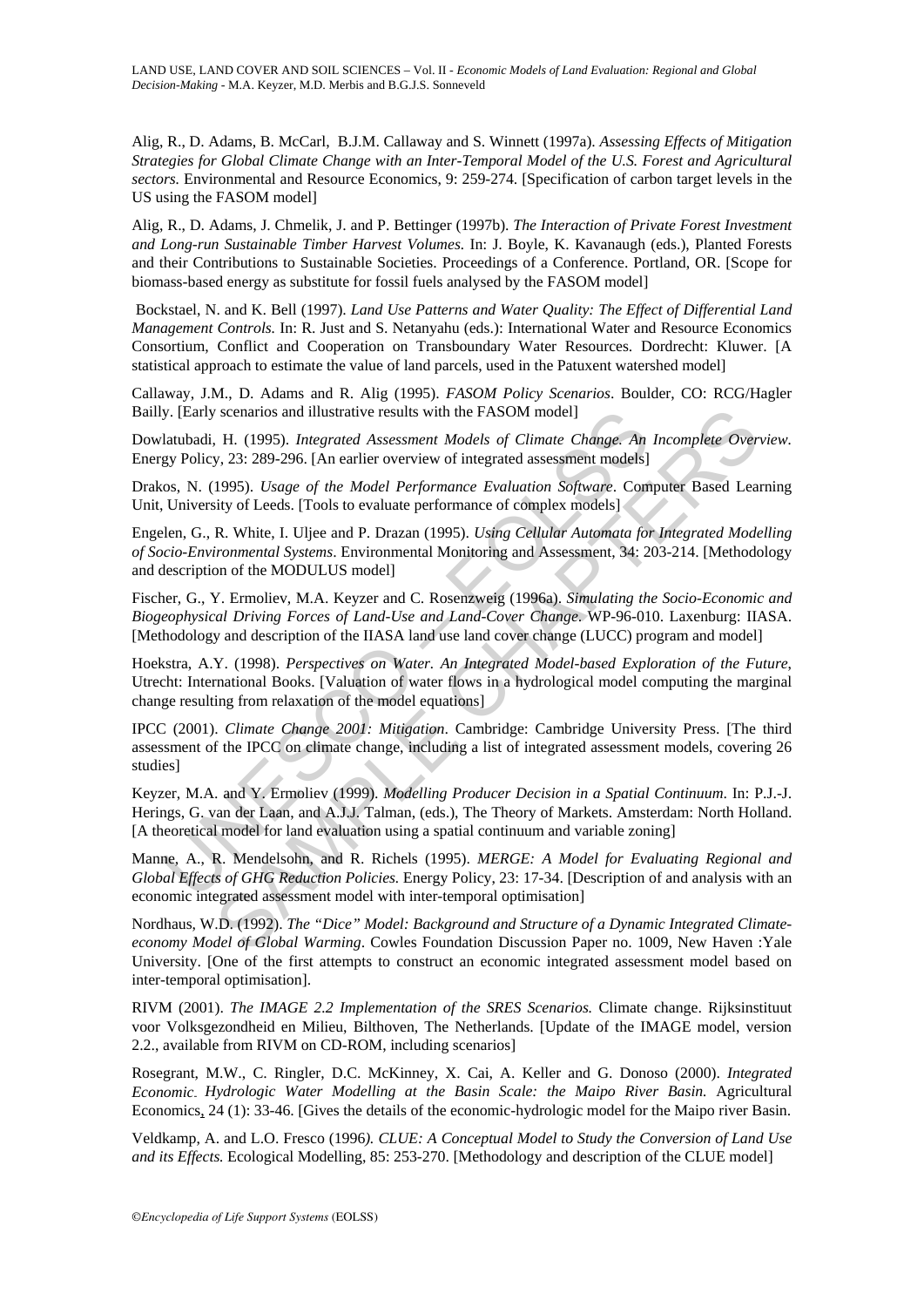Alig, R., D. Adams, B. McCarl, B.J.M. Callaway and S. Winnett (1997a). *Assessing Effects of Mitigation Strategies for Global Climate Change with an Inter-Temporal Model of the U.S. Forest and Agricultural sectors.* Environmental and Resource Economics, 9: 259-274. [Specification of carbon target levels in the US using the FASOM model]

Alig, R., D. Adams, J. Chmelik, J. and P. Bettinger (1997b). *The Interaction of Private Forest Investment and Long-run Sustainable Timber Harvest Volumes.* In: J. Boyle, K. Kavanaugh (eds.), Planted Forests and their Contributions to Sustainable Societies. Proceedings of a Conference. Portland, OR. [Scope for biomass-based energy as substitute for fossil fuels analysed by the FASOM model]

 Bockstael, N. and K. Bell (1997). *Land Use Patterns and Water Quality: The Effect of Differential Land Management Controls.* In: R. Just and S. Netanyahu (eds.): International Water and Resource Economics Consortium, Conflict and Cooperation on Transboundary Water Resources. Dordrecht: Kluwer. [A statistical approach to estimate the value of land parcels, used in the Patuxent watershed model]

Callaway, J.M., D. Adams and R. Alig (1995). *FASOM Policy Scenarios*. Boulder, CO: RCG/Hagler Bailly. [Early scenarios and illustrative results with the FASOM model]

Dowlatubadi, H. (1995). *Integrated Assessment Models of Climate Change. An Incomplete Overview.*  Energy Policy, 23: 289-296. [An earlier overview of integrated assessment models]

Drakos, N. (1995). *Usage of the Model Performance Evaluation Software*. Computer Based Learning Unit, University of Leeds. [Tools to evaluate performance of complex models]

Engelen, G., R. White, I. Uljee and P. Drazan (1995). *Using Cellular Automata for Integrated Modelling of Socio-Environmental Systems*. Environmental Monitoring and Assessment, 34: 203-214. [Methodology and description of the MODULUS model]

Fischer, G., Y. Ermoliev, M.A. Keyzer and C. Rosenzweig (1996a). *Simulating the Socio-Economic and Biogeophysical Driving Forces of Land-Use and Land-Cover Change*. WP-96-010. Laxenburg: IIASA. [Methodology and description of the IIASA land use land cover change (LUCC) program and model]

Hoekstra, A.Y. (1998). *Perspectives on Water. An Integrated Model-based Exploration of the Future*, Utrecht: International Books. [Valuation of water flows in a hydrological model computing the marginal change resulting from relaxation of the model equations]

y. [Early scenarios and illustrative results with the FASOM model]<br>latubadi, H. (1995). *Integrated Assessment Models of Climate Change. An*<br>gy Policy, 23: 289-296. [An earlier overview of integrated assessment models]<br>os, is scenarios and illustrative results with the FASOM model]<br>
H. (1995). *Integrated Assessment Models of Climate Change. An Incomplete Over*<br>
H. (1995). *Usage of the Model Performance Evaluation Software*. Computer Based IPCC (2001). *Climate Change 2001: Mitigation*. Cambridge: Cambridge University Press. [The third assessment of the IPCC on climate change, including a list of integrated assessment models, covering 26 studies]

Keyzer, M.A. and Y. Ermoliev (1999). *Modelling Producer Decision in a Spatial Continuum*. In: P.J.-J. Herings, G. van der Laan, and A.J.J. Talman, (eds.), The Theory of Markets. Amsterdam: North Holland. [A theoretical model for land evaluation using a spatial continuum and variable zoning]

Manne, A., R. Mendelsohn, and R. Richels (1995). *MERGE: A Model for Evaluating Regional and Global Effects of GHG Reduction Policies.* Energy Policy, 23: 17-34. [Description of and analysis with an economic integrated assessment model with inter-temporal optimisation]

Nordhaus, W.D. (1992). *The "Dice" Model: Background and Structure of a Dynamic Integrated Climateeconomy Model of Global Warming*. Cowles Foundation Discussion Paper no. 1009, New Haven :Yale University. [One of the first attempts to construct an economic integrated assessment model based on inter-temporal optimisation].

RIVM (2001). *The IMAGE 2.2 Implementation of the SRES Scenarios.* Climate change. Rijksinstituut voor Volksgezondheid en Milieu, Bilthoven, The Netherlands. [Update of the IMAGE model, version 2.2., available from RIVM on CD-ROM, including scenarios]

Rosegrant, M.W., C. Ringler, D.C. McKinney, X. Cai, A. Keller and G. Donoso (2000). *Integrated Economic- Hydrologic Water Modelling at the Basin Scale: the Maipo River Basin.* Agricultural Economics, 24 (1): 33-46. [Gives the details of the economic-hydrologic model for the Maipo river Basin.

Veldkamp, A. and L.O. Fresco (1996*). CLUE: A Conceptual Model to Study the Conversion of Land Use and its Effects.* Ecological Modelling, 85: 253-270. [Methodology and description of the CLUE model]